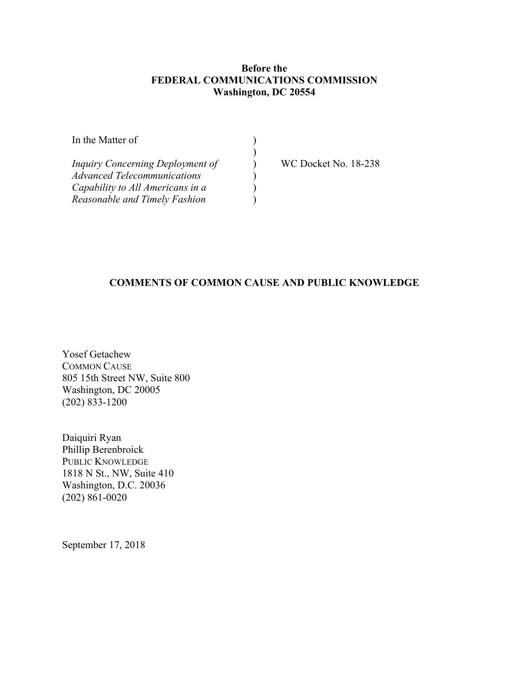#### **Before the FEDERAL COMMUNICATIONS COMMISSION Washington, DC 20554**

)

) ) ) )

| In the Matter of |  |
|------------------|--|
|                  |  |

*Inquiry Concerning Deployment of Advanced Telecommunications Capability to All Americans in a Reasonable and Timely Fashion*

WC Docket No. 18-238

# **COMMENTS OF COMMON CAUSE AND PUBLIC KNOWLEDGE**

Yosef Getachew COMMON CAUSE 805 15th Street NW, Suite 800 Washington, DC 20005 (202) 833-1200

Daiquiri Ryan Phillip Berenbroick PUBLIC KNOWLEDGE 1818 N St., NW, Suite 410 Washington, D.C. 20036 (202) 861-0020

September 17, 2018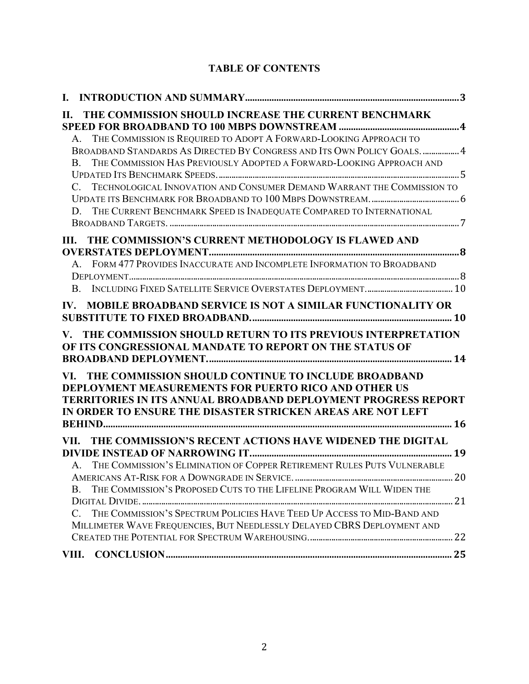# **TABLE OF CONTENTS**

| П.                   | THE COMMISSION SHOULD INCREASE THE CURRENT BENCHMARK                                                                                                                                                                                                           |  |
|----------------------|----------------------------------------------------------------------------------------------------------------------------------------------------------------------------------------------------------------------------------------------------------------|--|
| B                    | A. THE COMMISSION IS REQUIRED TO ADOPT A FORWARD-LOOKING APPROACH TO<br>BROADBAND STANDARDS AS DIRECTED BY CONGRESS AND ITS OWN POLICY GOALS.  4<br>THE COMMISSION HAS PREVIOUSLY ADOPTED A FORWARD-LOOKING APPROACH AND                                       |  |
|                      |                                                                                                                                                                                                                                                                |  |
| $C_{\cdot}$<br>D     | TECHNOLOGICAL INNOVATION AND CONSUMER DEMAND WARRANT THE COMMISSION TO                                                                                                                                                                                         |  |
|                      | THE CURRENT BENCHMARK SPEED IS INADEQUATE COMPARED TO INTERNATIONAL                                                                                                                                                                                            |  |
| III.                 | THE COMMISSION'S CURRENT METHODOLOGY IS FLAWED AND                                                                                                                                                                                                             |  |
|                      |                                                                                                                                                                                                                                                                |  |
|                      | A. FORM 477 PROVIDES INACCURATE AND INCOMPLETE INFORMATION TO BROADBAND                                                                                                                                                                                        |  |
| <b>B.</b>            |                                                                                                                                                                                                                                                                |  |
| IV.                  | <b>MOBILE BROADBAND SERVICE IS NOT A SIMILAR FUNCTIONALITY OR</b>                                                                                                                                                                                              |  |
|                      |                                                                                                                                                                                                                                                                |  |
| $\mathbf{V}_{\cdot}$ | THE COMMISSION SHOULD RETURN TO ITS PREVIOUS INTERPRETATION<br>OF ITS CONGRESSIONAL MANDATE TO REPORT ON THE STATUS OF                                                                                                                                         |  |
|                      | VI. THE COMMISSION SHOULD CONTINUE TO INCLUDE BROADBAND<br><b>DEPLOYMENT MEASUREMENTS FOR PUERTO RICO AND OTHER US</b><br><b>TERRITORIES IN ITS ANNUAL BROADBAND DEPLOYMENT PROGRESS REPORT</b><br>IN ORDER TO ENSURE THE DISASTER STRICKEN AREAS ARE NOT LEFT |  |
| VII.                 | THE COMMISSION'S RECENT ACTIONS HAVE WIDENED THE DIGITAL                                                                                                                                                                                                       |  |
|                      |                                                                                                                                                                                                                                                                |  |
| $A_{1}$              | THE COMMISSION'S ELIMINATION OF COPPER RETIREMENT RULES PUTS VULNERABLE                                                                                                                                                                                        |  |
| <b>B.</b>            | THE COMMISSION'S PROPOSED CUTS TO THE LIFELINE PROGRAM WILL WIDEN THE                                                                                                                                                                                          |  |
| $\mathcal{C}$ .      | THE COMMISSION'S SPECTRUM POLICIES HAVE TEED UP ACCESS TO MID-BAND AND<br>MILLIMETER WAVE FREQUENCIES, BUT NEEDLESSLY DELAYED CBRS DEPLOYMENT AND                                                                                                              |  |
|                      |                                                                                                                                                                                                                                                                |  |
| VIII.                |                                                                                                                                                                                                                                                                |  |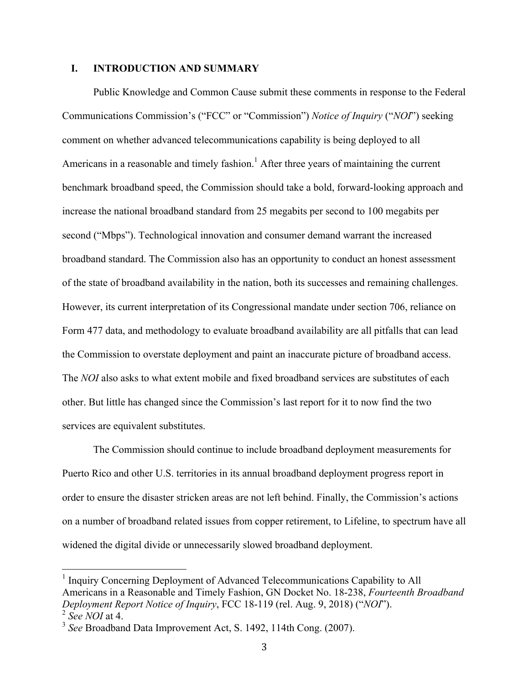#### **I. INTRODUCTION AND SUMMARY**

Public Knowledge and Common Cause submit these comments in response to the Federal Communications Commission's ("FCC" or "Commission") *Notice of Inquiry* ("*NOI*") seeking comment on whether advanced telecommunications capability is being deployed to all Americans in a reasonable and timely fashion.<sup>1</sup> After three years of maintaining the current benchmark broadband speed, the Commission should take a bold, forward-looking approach and increase the national broadband standard from 25 megabits per second to 100 megabits per second ("Mbps"). Technological innovation and consumer demand warrant the increased broadband standard. The Commission also has an opportunity to conduct an honest assessment of the state of broadband availability in the nation, both its successes and remaining challenges. However, its current interpretation of its Congressional mandate under section 706, reliance on Form 477 data, and methodology to evaluate broadband availability are all pitfalls that can lead the Commission to overstate deployment and paint an inaccurate picture of broadband access. The *NOI* also asks to what extent mobile and fixed broadband services are substitutes of each other. But little has changed since the Commission's last report for it to now find the two services are equivalent substitutes.

The Commission should continue to include broadband deployment measurements for Puerto Rico and other U.S. territories in its annual broadband deployment progress report in order to ensure the disaster stricken areas are not left behind. Finally, the Commission's actions on a number of broadband related issues from copper retirement, to Lifeline, to spectrum have all widened the digital divide or unnecessarily slowed broadband deployment.

<sup>&</sup>lt;sup>1</sup> Inquiry Concerning Deployment of Advanced Telecommunications Capability to All Americans in a Reasonable and Timely Fashion, GN Docket No. 18-238, *Fourteenth Broadband Deployment Report Notice of Inquiry*, FCC 18-119 (rel. Aug. 9, 2018) ("*NOI*"). <sup>2</sup> *See NOI* at 4.

<sup>3</sup> *See* Broadband Data Improvement Act, S. 1492, 114th Cong. (2007).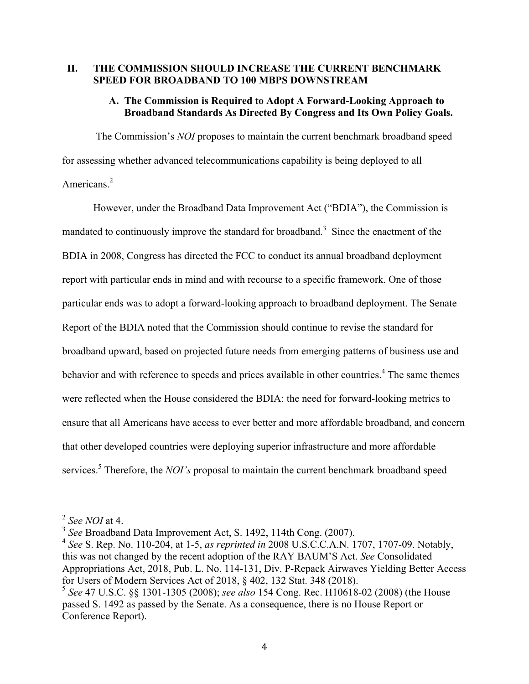#### **II. THE COMMISSION SHOULD INCREASE THE CURRENT BENCHMARK SPEED FOR BROADBAND TO 100 MBPS DOWNSTREAM**

#### **A. The Commission is Required to Adopt A Forward-Looking Approach to Broadband Standards As Directed By Congress and Its Own Policy Goals.**

The Commission's *NOI* proposes to maintain the current benchmark broadband speed for assessing whether advanced telecommunications capability is being deployed to all Americans.<sup>2</sup>

However, under the Broadband Data Improvement Act ("BDIA"), the Commission is mandated to continuously improve the standard for broadband.<sup>3</sup> Since the enactment of the BDIA in 2008, Congress has directed the FCC to conduct its annual broadband deployment report with particular ends in mind and with recourse to a specific framework. One of those particular ends was to adopt a forward-looking approach to broadband deployment. The Senate Report of the BDIA noted that the Commission should continue to revise the standard for broadband upward, based on projected future needs from emerging patterns of business use and behavior and with reference to speeds and prices available in other countries.<sup>4</sup> The same themes were reflected when the House considered the BDIA: the need for forward-looking metrics to ensure that all Americans have access to ever better and more affordable broadband, and concern that other developed countries were deploying superior infrastructure and more affordable services.<sup>5</sup> Therefore, the *NOI's* proposal to maintain the current benchmark broadband speed

 <sup>2</sup> *See NOI* at 4.

<sup>3</sup> *See* Broadband Data Improvement Act, S. 1492, 114th Cong. (2007).

<sup>4</sup> *See* S. Rep. No. 110-204, at 1-5, *as reprinted in* 2008 U.S.C.C.A.N. 1707, 1707-09. Notably, this was not changed by the recent adoption of the RAY BAUM'S Act. *See* Consolidated Appropriations Act, 2018, Pub. L. No. 114-131, Div. P-Repack Airwaves Yielding Better Access for Users of Modern Services Act of 2018, § 402, 132 Stat. 348 (2018).

<sup>5</sup> *See* 47 U.S.C. §§ 1301-1305 (2008); *see also* 154 Cong. Rec. H10618-02 (2008) (the House passed S. 1492 as passed by the Senate. As a consequence, there is no House Report or Conference Report).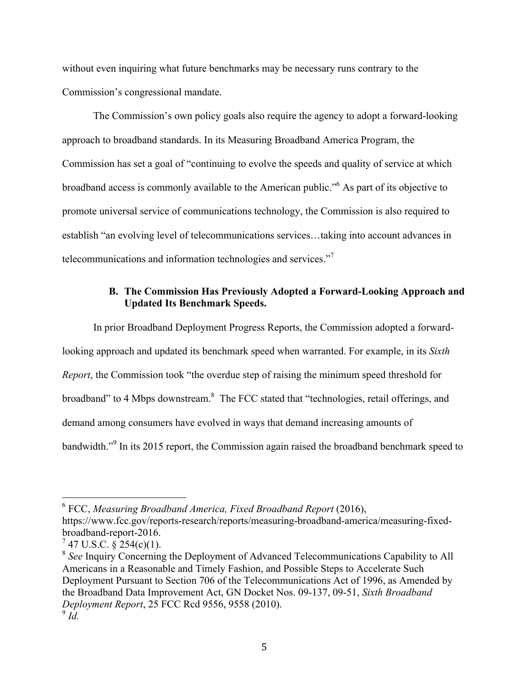without even inquiring what future benchmarks may be necessary runs contrary to the Commission's congressional mandate.

The Commission's own policy goals also require the agency to adopt a forward-looking approach to broadband standards. In its Measuring Broadband America Program, the Commission has set a goal of "continuing to evolve the speeds and quality of service at which broadband access is commonly available to the American public."6 As part of its objective to promote universal service of communications technology, the Commission is also required to establish "an evolving level of telecommunications services…taking into account advances in telecommunications and information technologies and services."7

#### **B. The Commission Has Previously Adopted a Forward-Looking Approach and Updated Its Benchmark Speeds.**

In prior Broadband Deployment Progress Reports, the Commission adopted a forwardlooking approach and updated its benchmark speed when warranted. For example, in its *Sixth Report*, the Commission took "the overdue step of raising the minimum speed threshold for broadband" to 4 Mbps downstream.<sup>8</sup> The FCC stated that "technologies, retail offerings, and demand among consumers have evolved in ways that demand increasing amounts of bandwidth."<sup>9</sup> In its 2015 report, the Commission again raised the broadband benchmark speed to

 <sup>6</sup> FCC, *Measuring Broadband America, Fixed Broadband Report* (2016),

https://www.fcc.gov/reports-research/reports/measuring-broadband-america/measuring-fixedbroadband-report-2016.

 $7$  47 U.S.C. § 254(c)(1).

<sup>8</sup> *See* Inquiry Concerning the Deployment of Advanced Telecommunications Capability to All Americans in a Reasonable and Timely Fashion, and Possible Steps to Accelerate Such Deployment Pursuant to Section 706 of the Telecommunications Act of 1996, as Amended by the Broadband Data Improvement Act, GN Docket Nos. 09-137, 09-51, *Sixth Broadband Deployment Report*, 25 FCC Rcd 9556, 9558 (2010).  $9\dot{d}$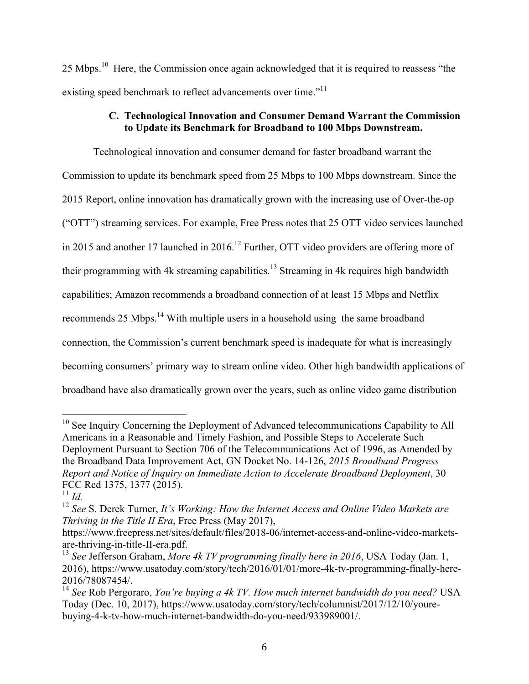25 Mbps.10 Here, the Commission once again acknowledged that it is required to reassess "the existing speed benchmark to reflect advancements over time."<sup>11</sup>

# **C. Technological Innovation and Consumer Demand Warrant the Commission to Update its Benchmark for Broadband to 100 Mbps Downstream.**

Technological innovation and consumer demand for faster broadband warrant the Commission to update its benchmark speed from 25 Mbps to 100 Mbps downstream. Since the 2015 Report, online innovation has dramatically grown with the increasing use of Over-the-op ("OTT") streaming services. For example, Free Press notes that 25 OTT video services launched in 2015 and another 17 launched in 2016.<sup>12</sup> Further, OTT video providers are offering more of their programming with 4k streaming capabilities.<sup>13</sup> Streaming in 4k requires high bandwidth capabilities; Amazon recommends a broadband connection of at least 15 Mbps and Netflix recommends 25 Mbps.<sup>14</sup> With multiple users in a household using the same broadband connection, the Commission's current benchmark speed is inadequate for what is increasingly becoming consumers' primary way to stream online video. Other high bandwidth applications of broadband have also dramatically grown over the years, such as online video game distribution

<sup>&</sup>lt;sup>10</sup> See Inquiry Concerning the Deployment of Advanced telecommunications Capability to All Americans in a Reasonable and Timely Fashion, and Possible Steps to Accelerate Such Deployment Pursuant to Section 706 of the Telecommunications Act of 1996, as Amended by the Broadband Data Improvement Act, GN Docket No. 14-126, *2015 Broadband Progress Report and Notice of Inquiry on Immediate Action to Accelerate Broadband Deployment*, 30 FCC Rcd 1375, 1377 (2015).

 $11$  *Id.* 

<sup>12</sup> *See* S. Derek Turner, *It's Working: How the Internet Access and Online Video Markets are Thriving in the Title II Era*, Free Press (May 2017),

https://www.freepress.net/sites/default/files/2018-06/internet-access-and-online-video-marketsare-thriving-in-title-II-era.pdf.

<sup>13</sup> *See* Jefferson Graham, *More 4k TV programming finally here in 2016*, USA Today (Jan. 1, 2016), https://www.usatoday.com/story/tech/2016/01/01/more-4k-tv-programming-finally-here-2016/78087454/.

<sup>14</sup> *See* Rob Pergoraro, *You're buying a 4k TV. How much internet bandwidth do you need?* USA Today (Dec. 10, 2017), https://www.usatoday.com/story/tech/columnist/2017/12/10/yourebuying-4-k-tv-how-much-internet-bandwidth-do-you-need/933989001/.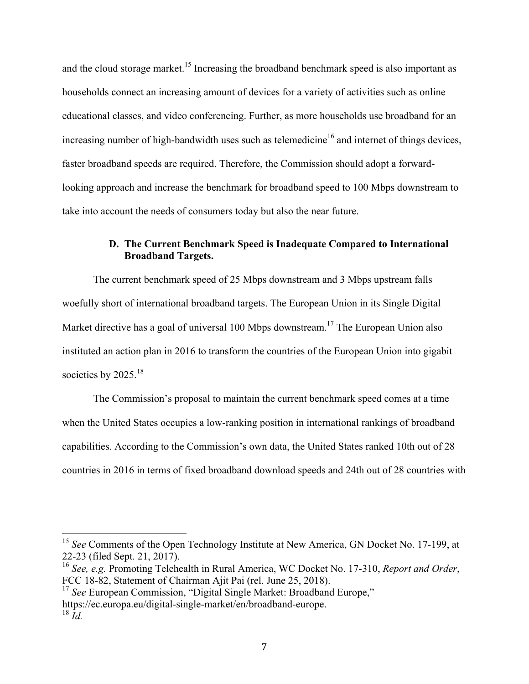and the cloud storage market.<sup>15</sup> Increasing the broadband benchmark speed is also important as households connect an increasing amount of devices for a variety of activities such as online educational classes, and video conferencing. Further, as more households use broadband for an increasing number of high-bandwidth uses such as telemedicine<sup>16</sup> and internet of things devices, faster broadband speeds are required. Therefore, the Commission should adopt a forwardlooking approach and increase the benchmark for broadband speed to 100 Mbps downstream to take into account the needs of consumers today but also the near future.

# **D. The Current Benchmark Speed is Inadequate Compared to International Broadband Targets.**

The current benchmark speed of 25 Mbps downstream and 3 Mbps upstream falls woefully short of international broadband targets. The European Union in its Single Digital Market directive has a goal of universal 100 Mbps downstream.<sup>17</sup> The European Union also instituted an action plan in 2016 to transform the countries of the European Union into gigabit societies by 2025.<sup>18</sup>

The Commission's proposal to maintain the current benchmark speed comes at a time when the United States occupies a low-ranking position in international rankings of broadband capabilities. According to the Commission's own data, the United States ranked 10th out of 28 countries in 2016 in terms of fixed broadband download speeds and 24th out of 28 countries with

<sup>&</sup>lt;sup>15</sup> See Comments of the Open Technology Institute at New America, GN Docket No. 17-199, at 22-23 (filed Sept. 21, 2017).

<sup>16</sup> *See, e.g.* Promoting Telehealth in Rural America, WC Docket No. 17-310, *Report and Order*, FCC 18-82, Statement of Chairman Ajit Pai (rel. June 25, 2018).

<sup>&</sup>lt;sup>17</sup> See European Commission, "Digital Single Market: Broadband Europe," https://ec.europa.eu/digital-single-market/en/broadband-europe.  $18 \dot{I}$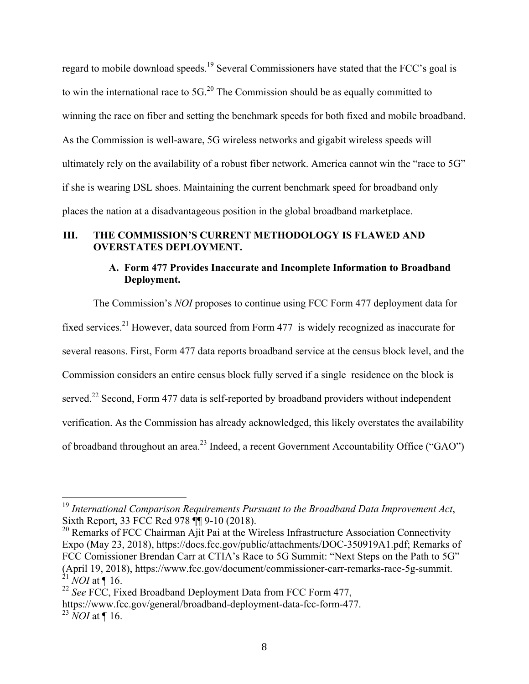regard to mobile download speeds.<sup>19</sup> Several Commissioners have stated that the FCC's goal is to win the international race to  $5G<sup>20</sup>$ . The Commission should be as equally committed to winning the race on fiber and setting the benchmark speeds for both fixed and mobile broadband. As the Commission is well-aware, 5G wireless networks and gigabit wireless speeds will ultimately rely on the availability of a robust fiber network. America cannot win the "race to 5G" if she is wearing DSL shoes. Maintaining the current benchmark speed for broadband only places the nation at a disadvantageous position in the global broadband marketplace.

# **III. THE COMMISSION'S CURRENT METHODOLOGY IS FLAWED AND OVERSTATES DEPLOYMENT.**

# **A. Form 477 Provides Inaccurate and Incomplete Information to Broadband Deployment.**

The Commission's *NOI* proposes to continue using FCC Form 477 deployment data for fixed services.<sup>21</sup> However, data sourced from Form 477 is widely recognized as inaccurate for several reasons. First, Form 477 data reports broadband service at the census block level, and the Commission considers an entire census block fully served if a single residence on the block is served.<sup>22</sup> Second, Form 477 data is self-reported by broadband providers without independent verification. As the Commission has already acknowledged, this likely overstates the availability of broadband throughout an area.<sup>23</sup> Indeed, a recent Government Accountability Office ("GAO")

 <sup>19</sup> *International Comparison Requirements Pursuant to the Broadband Data Improvement Act*, Sixth Report, 33 FCC Rcd 978 ¶¶ 9-10 (2018).

<sup>&</sup>lt;sup>20</sup> Remarks of FCC Chairman Ajit Pai at the Wireless Infrastructure Association Connectivity Expo (May 23, 2018), https://docs.fcc.gov/public/attachments/DOC-350919A1.pdf; Remarks of FCC Comissioner Brendan Carr at CTIA's Race to 5G Summit: "Next Steps on the Path to 5G" (April 19, 2018), https://www.fcc.gov/document/commissioner-carr-remarks-race-5g-summit.  $^{21}$  *NOI* at  $\P$  16.

<sup>22</sup> *See* FCC, Fixed Broadband Deployment Data from FCC Form 477,

https://www.fcc.gov/general/broadband-deployment-data-fcc-form-477.

<sup>23</sup> *NOI* at ¶ 16.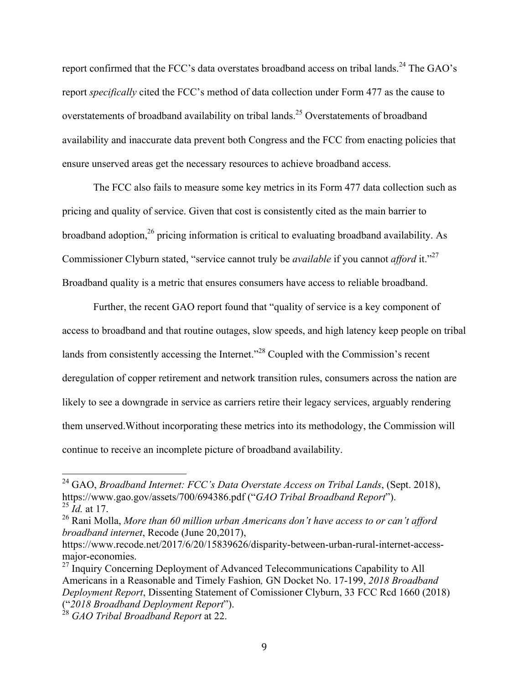report confirmed that the FCC's data overstates broadband access on tribal lands.<sup>24</sup> The GAO's report *specifically* cited the FCC's method of data collection under Form 477 as the cause to overstatements of broadband availability on tribal lands.<sup>25</sup> Overstatements of broadband availability and inaccurate data prevent both Congress and the FCC from enacting policies that ensure unserved areas get the necessary resources to achieve broadband access.

The FCC also fails to measure some key metrics in its Form 477 data collection such as pricing and quality of service. Given that cost is consistently cited as the main barrier to broadband adoption,  $^{26}$  pricing information is critical to evaluating broadband availability. As Commissioner Clyburn stated, "service cannot truly be *available* if you cannot *afford* it."27 Broadband quality is a metric that ensures consumers have access to reliable broadband.

Further, the recent GAO report found that "quality of service is a key component of access to broadband and that routine outages, slow speeds, and high latency keep people on tribal lands from consistently accessing the Internet."<sup>28</sup> Coupled with the Commission's recent deregulation of copper retirement and network transition rules, consumers across the nation are likely to see a downgrade in service as carriers retire their legacy services, arguably rendering them unserved.Without incorporating these metrics into its methodology, the Commission will continue to receive an incomplete picture of broadband availability.

 <sup>24</sup> GAO, *Broadband Internet: FCC's Data Overstate Access on Tribal Lands*, (Sept. 2018), https://www.gao.gov/assets/700/694386.pdf ("*GAO Tribal Broadband Report*"). <sup>25</sup> *Id.* at 17.

<sup>26</sup> Rani Molla, *More than 60 million urban Americans don't have access to or can't afford broadband internet*, Recode (June 20,2017),

https://www.recode.net/2017/6/20/15839626/disparity-between-urban-rural-internet-accessmajor-economies.

 $27$  Inquiry Concerning Deployment of Advanced Telecommunications Capability to All Americans in a Reasonable and Timely Fashion*,* GN Docket No. 17-199, *2018 Broadband Deployment Report*, Dissenting Statement of Comissioner Clyburn, 33 FCC Rcd 1660 (2018) ("*2018 Broadband Deployment Report*").

<sup>28</sup> *GAO Tribal Broadband Report* at 22.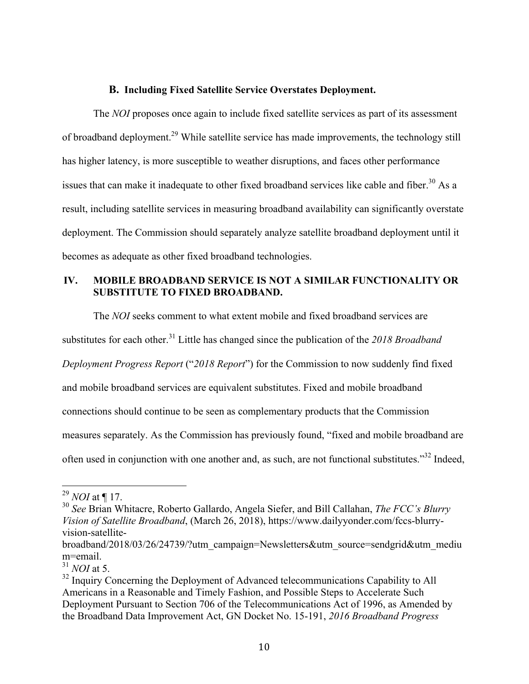#### **B. Including Fixed Satellite Service Overstates Deployment.**

The *NOI* proposes once again to include fixed satellite services as part of its assessment of broadband deployment.29 While satellite service has made improvements, the technology still has higher latency, is more susceptible to weather disruptions, and faces other performance issues that can make it inadequate to other fixed broadband services like cable and fiber.<sup>30</sup> As a result, including satellite services in measuring broadband availability can significantly overstate deployment. The Commission should separately analyze satellite broadband deployment until it becomes as adequate as other fixed broadband technologies.

# **IV. MOBILE BROADBAND SERVICE IS NOT A SIMILAR FUNCTIONALITY OR SUBSTITUTE TO FIXED BROADBAND.**

The *NOI* seeks comment to what extent mobile and fixed broadband services are

substitutes for each other.<sup>31</sup> Little has changed since the publication of the 2018 Broadband

*Deployment Progress Report* ("*2018 Report*") for the Commission to now suddenly find fixed

and mobile broadband services are equivalent substitutes. Fixed and mobile broadband

connections should continue to be seen as complementary products that the Commission

measures separately. As the Commission has previously found, "fixed and mobile broadband are

often used in conjunction with one another and, as such, are not functional substitutes."<sup>32</sup> Indeed,

 <sup>29</sup> *NOI* at ¶ 17.

<sup>30</sup> *See* Brian Whitacre, Roberto Gallardo, Angela Siefer, and Bill Callahan, *The FCC's Blurry Vision of Satellite Broadband*, (March 26, 2018), https://www.dailyyonder.com/fccs-blurryvision-satellite-

broadband/2018/03/26/24739/?utm\_campaign=Newsletters&utm\_source=sendgrid&utm\_mediu m=email.

<sup>31</sup> *NOI* at 5.

<sup>&</sup>lt;sup>32</sup> Inquiry Concerning the Deployment of Advanced telecommunications Capability to All Americans in a Reasonable and Timely Fashion, and Possible Steps to Accelerate Such Deployment Pursuant to Section 706 of the Telecommunications Act of 1996, as Amended by the Broadband Data Improvement Act, GN Docket No. 15-191, *2016 Broadband Progress*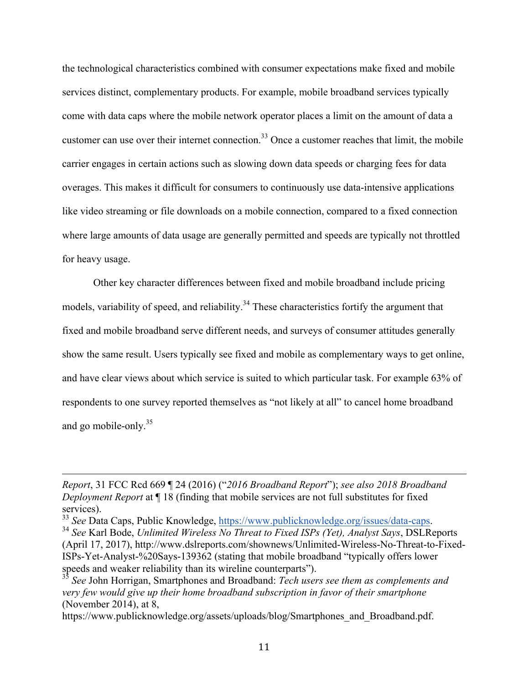the technological characteristics combined with consumer expectations make fixed and mobile services distinct, complementary products. For example, mobile broadband services typically come with data caps where the mobile network operator places a limit on the amount of data a customer can use over their internet connection.<sup>33</sup> Once a customer reaches that limit, the mobile carrier engages in certain actions such as slowing down data speeds or charging fees for data overages. This makes it difficult for consumers to continuously use data-intensive applications like video streaming or file downloads on a mobile connection, compared to a fixed connection where large amounts of data usage are generally permitted and speeds are typically not throttled for heavy usage.

Other key character differences between fixed and mobile broadband include pricing models, variability of speed, and reliability.<sup>34</sup> These characteristics fortify the argument that fixed and mobile broadband serve different needs, and surveys of consumer attitudes generally show the same result. Users typically see fixed and mobile as complementary ways to get online, and have clear views about which service is suited to which particular task. For example 63% of respondents to one survey reported themselves as "not likely at all" to cancel home broadband and go mobile-only.35

<u> 1989 - Andrea Santa Andrea Santa Andrea Santa Andrea Santa Andrea Santa Andrea Santa Andrea Santa Andrea San</u>

*Report*, 31 FCC Rcd 669 ¶ 24 (2016) ("*2016 Broadband Report*"); *see also 2018 Broadband Deployment Report* at ¶ 18 (finding that mobile services are not full substitutes for fixed services).

<sup>33</sup> *See* Data Caps, Public Knowledge, https://www.publicknowledge.org/issues/data-caps. 34 *See* Karl Bode, *Unlimited Wireless No Threat to Fixed ISPs (Yet), Analyst Says*, DSLReports

<sup>(</sup>April 17, 2017), http://www.dslreports.com/shownews/Unlimited-Wireless-No-Threat-to-Fixed-ISPs-Yet-Analyst-%20Says-139362 (stating that mobile broadband "typically offers lower speeds and weaker reliability than its wireline counterparts").

<sup>35</sup> *See* John Horrigan, Smartphones and Broadband: *Tech users see them as complements and very few would give up their home broadband subscription in favor of their smartphone* (November 2014), at 8,

https://www.publicknowledge.org/assets/uploads/blog/Smartphones\_and\_Broadband.pdf.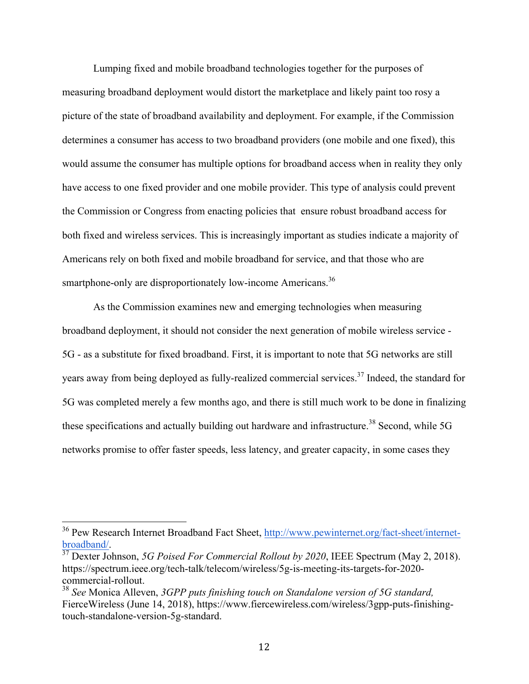Lumping fixed and mobile broadband technologies together for the purposes of measuring broadband deployment would distort the marketplace and likely paint too rosy a picture of the state of broadband availability and deployment. For example, if the Commission determines a consumer has access to two broadband providers (one mobile and one fixed), this would assume the consumer has multiple options for broadband access when in reality they only have access to one fixed provider and one mobile provider. This type of analysis could prevent the Commission or Congress from enacting policies that ensure robust broadband access for both fixed and wireless services. This is increasingly important as studies indicate a majority of Americans rely on both fixed and mobile broadband for service, and that those who are smartphone-only are disproportionately low-income Americans.<sup>36</sup>

As the Commission examines new and emerging technologies when measuring broadband deployment, it should not consider the next generation of mobile wireless service - 5G - as a substitute for fixed broadband. First, it is important to note that 5G networks are still years away from being deployed as fully-realized commercial services.<sup>37</sup> Indeed, the standard for 5G was completed merely a few months ago, and there is still much work to be done in finalizing these specifications and actually building out hardware and infrastructure.<sup>38</sup> Second, while 5G networks promise to offer faster speeds, less latency, and greater capacity, in some cases they

<sup>&</sup>lt;sup>36</sup> Pew Research Internet Broadband Fact Sheet, http://www.pewinternet.org/fact-sheet/internetbroadband/. 37 Dexter Johnson, *5G Poised For Commercial Rollout by 2020*, IEEE Spectrum (May 2, 2018).

https://spectrum.ieee.org/tech-talk/telecom/wireless/5g-is-meeting-its-targets-for-2020 commercial-rollout.

<sup>38</sup> *See* Monica Alleven, *3GPP puts finishing touch on Standalone version of 5G standard,* FierceWireless (June 14, 2018), https://www.fiercewireless.com/wireless/3gpp-puts-finishingtouch-standalone-version-5g-standard.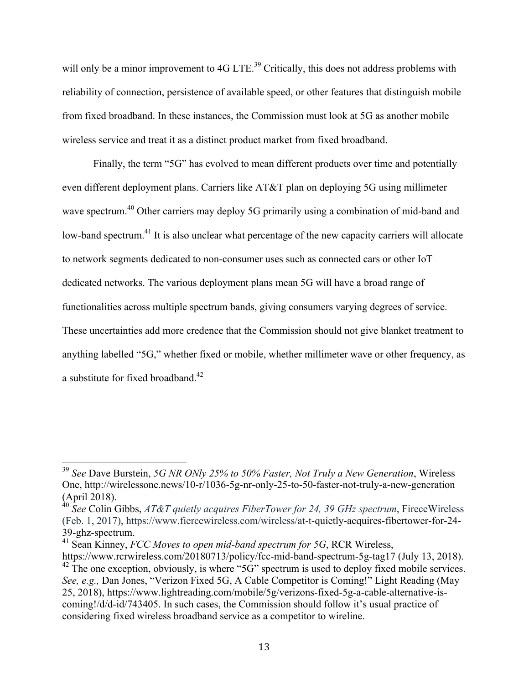will only be a minor improvement to 4G LTE.<sup>39</sup> Critically, this does not address problems with reliability of connection, persistence of available speed, or other features that distinguish mobile from fixed broadband. In these instances, the Commission must look at 5G as another mobile wireless service and treat it as a distinct product market from fixed broadband.

Finally, the term "5G" has evolved to mean different products over time and potentially even different deployment plans. Carriers like AT&T plan on deploying 5G using millimeter wave spectrum.<sup>40</sup> Other carriers may deploy 5G primarily using a combination of mid-band and low-band spectrum.<sup>41</sup> It is also unclear what percentage of the new capacity carriers will allocate to network segments dedicated to non-consumer uses such as connected cars or other IoT dedicated networks. The various deployment plans mean 5G will have a broad range of functionalities across multiple spectrum bands, giving consumers varying degrees of service. These uncertainties add more credence that the Commission should not give blanket treatment to anything labelled "5G," whether fixed or mobile, whether millimeter wave or other frequency, as a substitute for fixed broadband.<sup>42</sup>

<sup>41</sup> Sean Kinney, *FCC Moves to open mid-band spectrum for 5G*, RCR Wireless,

 <sup>39</sup> *See* Dave Burstein, *5G NR ONly 25% to 50% Faster, Not Truly a New Generation*, Wireless One, http://wirelessone.news/10-r/1036-5g-nr-only-25-to-50-faster-not-truly-a-new-generation (April 2018).

<sup>40</sup> *See* Colin Gibbs, *AT&T quietly acquires FiberTower for 24, 39 GHz spectrum*, FireceWireless (Feb. 1, 2017), https://www.fiercewireless.com/wireless/at-t-quietly-acquires-fibertower-for-24- 39-ghz-spectrum.

https://www.rcrwireless.com/20180713/policy/fcc-mid-band-spectrum-5g-tag17 (July 13, 2018).  $^{42}$  The one exception, obviously, is where "5G" spectrum is used to deploy fixed mobile services. *See, e.g.,* Dan Jones, "Verizon Fixed 5G, A Cable Competitor is Coming!" Light Reading (May 25, 2018), https://www.lightreading.com/mobile/5g/verizons-fixed-5g-a-cable-alternative-iscoming!/d/d-id/743405. In such cases, the Commission should follow it's usual practice of considering fixed wireless broadband service as a competitor to wireline.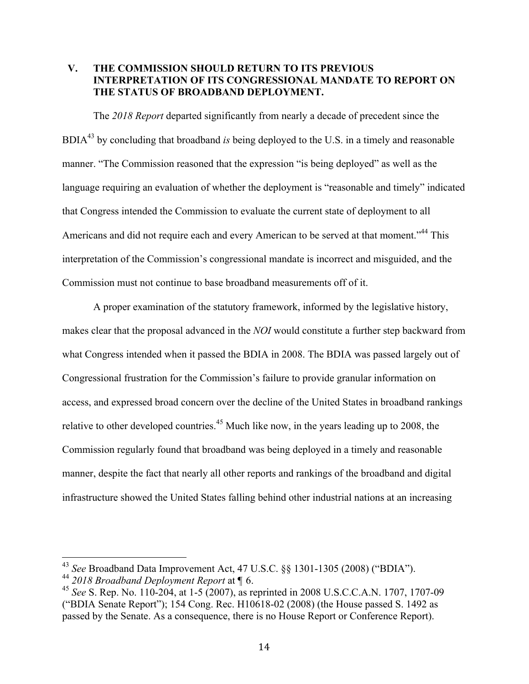## **V. THE COMMISSION SHOULD RETURN TO ITS PREVIOUS INTERPRETATION OF ITS CONGRESSIONAL MANDATE TO REPORT ON THE STATUS OF BROADBAND DEPLOYMENT.**

The *2018 Report* departed significantly from nearly a decade of precedent since the BDIA43 by concluding that broadband *is* being deployed to the U.S. in a timely and reasonable manner. "The Commission reasoned that the expression "is being deployed" as well as the language requiring an evaluation of whether the deployment is "reasonable and timely" indicated that Congress intended the Commission to evaluate the current state of deployment to all Americans and did not require each and every American to be served at that moment."<sup>44</sup> This interpretation of the Commission's congressional mandate is incorrect and misguided, and the Commission must not continue to base broadband measurements off of it.

A proper examination of the statutory framework, informed by the legislative history, makes clear that the proposal advanced in the *NOI* would constitute a further step backward from what Congress intended when it passed the BDIA in 2008. The BDIA was passed largely out of Congressional frustration for the Commission's failure to provide granular information on access, and expressed broad concern over the decline of the United States in broadband rankings relative to other developed countries.<sup>45</sup> Much like now, in the years leading up to 2008, the Commission regularly found that broadband was being deployed in a timely and reasonable manner, despite the fact that nearly all other reports and rankings of the broadband and digital infrastructure showed the United States falling behind other industrial nations at an increasing

<sup>&</sup>lt;sup>43</sup> *See* Broadband Data Improvement Act, 47 U.S.C. §§ 1301-1305 (2008) ("BDIA").<br><sup>44</sup> 2018 *Broadband Deployment Report* at ¶ 6.

<sup>&</sup>lt;sup>45</sup> *See* S. Rep. No. 110-204, at 1-5 (2007), as reprinted in 2008 U.S.C.C.A.N. 1707, 1707-09 ("BDIA Senate Report"); 154 Cong. Rec. H10618-02 (2008) (the House passed S. 1492 as passed by the Senate. As a consequence, there is no House Report or Conference Report).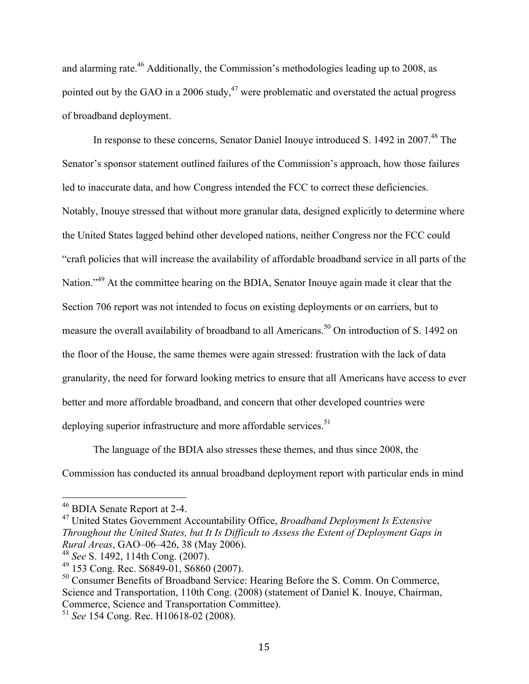and alarming rate.46 Additionally, the Commission's methodologies leading up to 2008, as pointed out by the GAO in a 2006 study,  $47$  were problematic and overstated the actual progress of broadband deployment.

In response to these concerns, Senator Daniel Inouye introduced S. 1492 in 2007.<sup>48</sup> The Senator's sponsor statement outlined failures of the Commission's approach, how those failures led to inaccurate data, and how Congress intended the FCC to correct these deficiencies. Notably, Inouye stressed that without more granular data, designed explicitly to determine where the United States lagged behind other developed nations, neither Congress nor the FCC could "craft policies that will increase the availability of affordable broadband service in all parts of the Nation."<sup>49</sup> At the committee hearing on the BDIA, Senator Inouve again made it clear that the Section 706 report was not intended to focus on existing deployments or on carriers, but to measure the overall availability of broadband to all Americans.<sup>50</sup> On introduction of S. 1492 on the floor of the House, the same themes were again stressed: frustration with the lack of data granularity, the need for forward looking metrics to ensure that all Americans have access to ever better and more affordable broadband, and concern that other developed countries were deploying superior infrastructure and more affordable services.<sup>51</sup>

The language of the BDIA also stresses these themes, and thus since 2008, the Commission has conducted its annual broadband deployment report with particular ends in mind

 <sup>46</sup> BDIA Senate Report at 2-4.

<sup>47</sup> United States Government Accountability Office, *Broadband Deployment Is Extensive Throughout the United States, but It Is Difficult to Assess the Extent of Deployment Gaps in Rural Areas*, GAO–06–426, 38 (May 2006).

<sup>48</sup> *See* S. 1492, 114th Cong. (2007).

<sup>49</sup> 153 Cong. Rec. S6849-01, S6860 (2007).

<sup>&</sup>lt;sup>50</sup> Consumer Benefits of Broadband Service: Hearing Before the S. Comm. On Commerce, Science and Transportation, 110th Cong. (2008) (statement of Daniel K. Inouye, Chairman, Commerce, Science and Transportation Committee).

<sup>51</sup> *See* 154 Cong. Rec. H10618-02 (2008).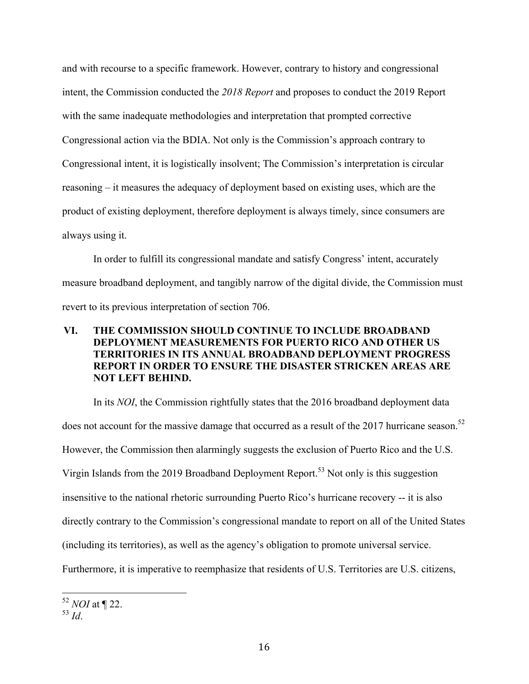and with recourse to a specific framework. However, contrary to history and congressional intent, the Commission conducted the *2018 Report* and proposes to conduct the 2019 Report with the same inadequate methodologies and interpretation that prompted corrective Congressional action via the BDIA. Not only is the Commission's approach contrary to Congressional intent, it is logistically insolvent; The Commission's interpretation is circular reasoning – it measures the adequacy of deployment based on existing uses, which are the product of existing deployment, therefore deployment is always timely, since consumers are always using it.

In order to fulfill its congressional mandate and satisfy Congress' intent, accurately measure broadband deployment, and tangibly narrow of the digital divide, the Commission must revert to its previous interpretation of section 706.

# **VI. THE COMMISSION SHOULD CONTINUE TO INCLUDE BROADBAND DEPLOYMENT MEASUREMENTS FOR PUERTO RICO AND OTHER US TERRITORIES IN ITS ANNUAL BROADBAND DEPLOYMENT PROGRESS REPORT IN ORDER TO ENSURE THE DISASTER STRICKEN AREAS ARE NOT LEFT BEHIND.**

In its *NOI*, the Commission rightfully states that the 2016 broadband deployment data does not account for the massive damage that occurred as a result of the 2017 hurricane season.<sup>52</sup> However, the Commission then alarmingly suggests the exclusion of Puerto Rico and the U.S. Virgin Islands from the 2019 Broadband Deployment Report.<sup>53</sup> Not only is this suggestion insensitive to the national rhetoric surrounding Puerto Rico's hurricane recovery -- it is also directly contrary to the Commission's congressional mandate to report on all of the United States (including its territories), as well as the agency's obligation to promote universal service. Furthermore, it is imperative to reemphasize that residents of U.S. Territories are U.S. citizens,

 <sup>52</sup> *NOI* at ¶ 22.

<sup>53</sup> *Id*.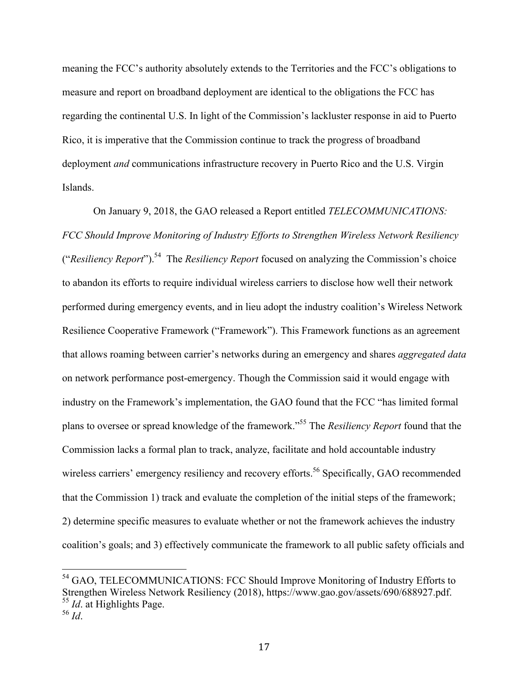meaning the FCC's authority absolutely extends to the Territories and the FCC's obligations to measure and report on broadband deployment are identical to the obligations the FCC has regarding the continental U.S. In light of the Commission's lackluster response in aid to Puerto Rico, it is imperative that the Commission continue to track the progress of broadband deployment *and* communications infrastructure recovery in Puerto Rico and the U.S. Virgin Islands.

On January 9, 2018, the GAO released a Report entitled *TELECOMMUNICATIONS: FCC Should Improve Monitoring of Industry Efforts to Strengthen Wireless Network Resiliency* ("*Resiliency Report*"). 54 The *Resiliency Report* focused on analyzing the Commission's choice to abandon its efforts to require individual wireless carriers to disclose how well their network performed during emergency events, and in lieu adopt the industry coalition's Wireless Network Resilience Cooperative Framework ("Framework"). This Framework functions as an agreement that allows roaming between carrier's networks during an emergency and shares *aggregated data* on network performance post-emergency. Though the Commission said it would engage with industry on the Framework's implementation, the GAO found that the FCC "has limited formal plans to oversee or spread knowledge of the framework."55 The *Resiliency Report* found that the Commission lacks a formal plan to track, analyze, facilitate and hold accountable industry wireless carriers' emergency resiliency and recovery efforts.<sup>56</sup> Specifically, GAO recommended that the Commission 1) track and evaluate the completion of the initial steps of the framework; 2) determine specific measures to evaluate whether or not the framework achieves the industry coalition's goals; and 3) effectively communicate the framework to all public safety officials and

 <sup>54</sup> GAO, TELECOMMUNICATIONS: FCC Should Improve Monitoring of Industry Efforts to Strengthen Wireless Network Resiliency (2018), https://www.gao.gov/assets/690/688927.pdf. <sup>55</sup> *Id*. at Highlights Page.

<sup>56</sup> *Id*.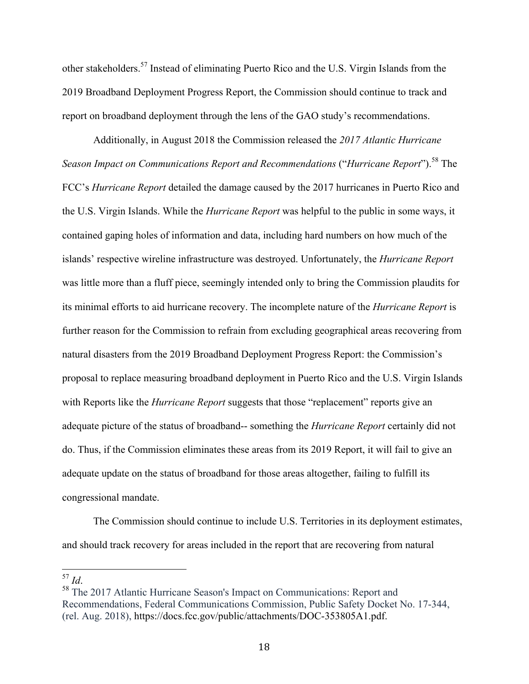other stakeholders.<sup>57</sup> Instead of eliminating Puerto Rico and the U.S. Virgin Islands from the 2019 Broadband Deployment Progress Report, the Commission should continue to track and report on broadband deployment through the lens of the GAO study's recommendations.

Additionally, in August 2018 the Commission released the *2017 Atlantic Hurricane Season Impact on Communications Report and Recommendations* ("*Hurricane Report*"). <sup>58</sup> The FCC's *Hurricane Report* detailed the damage caused by the 2017 hurricanes in Puerto Rico and the U.S. Virgin Islands. While the *Hurricane Report* was helpful to the public in some ways, it contained gaping holes of information and data, including hard numbers on how much of the islands' respective wireline infrastructure was destroyed. Unfortunately, the *Hurricane Report* was little more than a fluff piece, seemingly intended only to bring the Commission plaudits for its minimal efforts to aid hurricane recovery. The incomplete nature of the *Hurricane Report* is further reason for the Commission to refrain from excluding geographical areas recovering from natural disasters from the 2019 Broadband Deployment Progress Report: the Commission's proposal to replace measuring broadband deployment in Puerto Rico and the U.S. Virgin Islands with Reports like the *Hurricane Report* suggests that those "replacement" reports give an adequate picture of the status of broadband-- something the *Hurricane Report* certainly did not do. Thus, if the Commission eliminates these areas from its 2019 Report, it will fail to give an adequate update on the status of broadband for those areas altogether, failing to fulfill its congressional mandate.

The Commission should continue to include U.S. Territories in its deployment estimates, and should track recovery for areas included in the report that are recovering from natural

 <sup>57</sup> *Id*. <sup>58</sup> The 2017 Atlantic Hurricane Season's Impact on Communications: Report and Recommendations, Federal Communications Commission, Public Safety Docket No. 17-344, (rel. Aug. 2018), https://docs.fcc.gov/public/attachments/DOC-353805A1.pdf.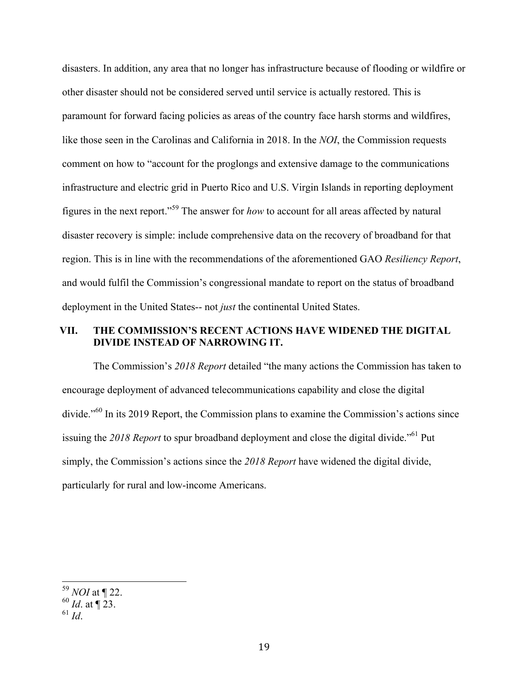disasters. In addition, any area that no longer has infrastructure because of flooding or wildfire or other disaster should not be considered served until service is actually restored. This is paramount for forward facing policies as areas of the country face harsh storms and wildfires, like those seen in the Carolinas and California in 2018. In the *NOI*, the Commission requests comment on how to "account for the proglongs and extensive damage to the communications infrastructure and electric grid in Puerto Rico and U.S. Virgin Islands in reporting deployment figures in the next report."<sup>59</sup> The answer for *how* to account for all areas affected by natural disaster recovery is simple: include comprehensive data on the recovery of broadband for that region. This is in line with the recommendations of the aforementioned GAO *Resiliency Report*, and would fulfil the Commission's congressional mandate to report on the status of broadband deployment in the United States-- not *just* the continental United States.

## **VII. THE COMMISSION'S RECENT ACTIONS HAVE WIDENED THE DIGITAL DIVIDE INSTEAD OF NARROWING IT.**

The Commission's *2018 Report* detailed "the many actions the Commission has taken to encourage deployment of advanced telecommunications capability and close the digital divide."<sup>60</sup> In its 2019 Report, the Commission plans to examine the Commission's actions since issuing the 2018 Report to spur broadband deployment and close the digital divide.<sup>"61</sup> Put simply, the Commission's actions since the *2018 Report* have widened the digital divide, particularly for rural and low-income Americans.

 <sup>59</sup> *NOI* at ¶ 22.

 $60$  *Id.* at  $\sqrt{23}$ .

 $^{61}$  *Id*.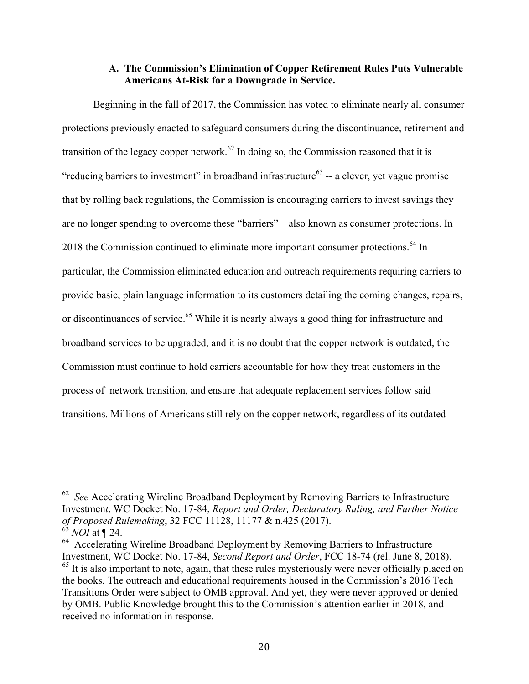#### **A. The Commission's Elimination of Copper Retirement Rules Puts Vulnerable Americans At-Risk for a Downgrade in Service.**

Beginning in the fall of 2017, the Commission has voted to eliminate nearly all consumer protections previously enacted to safeguard consumers during the discontinuance, retirement and transition of the legacy copper network.<sup>62</sup> In doing so, the Commission reasoned that it is "reducing barriers to investment" in broadband infrastructure $63$  -- a clever, yet vague promise that by rolling back regulations, the Commission is encouraging carriers to invest savings they are no longer spending to overcome these "barriers" – also known as consumer protections. In 2018 the Commission continued to eliminate more important consumer protections.<sup>64</sup> In particular, the Commission eliminated education and outreach requirements requiring carriers to provide basic, plain language information to its customers detailing the coming changes, repairs, or discontinuances of service.<sup>65</sup> While it is nearly always a good thing for infrastructure and broadband services to be upgraded, and it is no doubt that the copper network is outdated, the Commission must continue to hold carriers accountable for how they treat customers in the process of network transition, and ensure that adequate replacement services follow said transitions. Millions of Americans still rely on the copper network, regardless of its outdated

 <sup>62</sup>*See* Accelerating Wireline Broadband Deployment by Removing Barriers to Infrastructure Investmen*t*, WC Docket No. 17-84, *Report and Order, Declaratory Ruling, and Further Notice of Proposed Rulemaking*, 32 FCC 11128, 11177 & n.425 (2017).  $63$  *NOI* at ¶ 24.

<sup>&</sup>lt;sup>64</sup> Accelerating Wireline Broadband Deployment by Removing Barriers to Infrastructure Investment, WC Docket No. 17-84, *Second Report and Order*, FCC 18-74 (rel. June 8, 2018).  $<sup>65</sup>$  It is also important to note, again, that these rules mysteriously were never officially placed on</sup> the books. The outreach and educational requirements housed in the Commission's 2016 Tech Transitions Order were subject to OMB approval. And yet, they were never approved or denied by OMB. Public Knowledge brought this to the Commission's attention earlier in 2018, and received no information in response.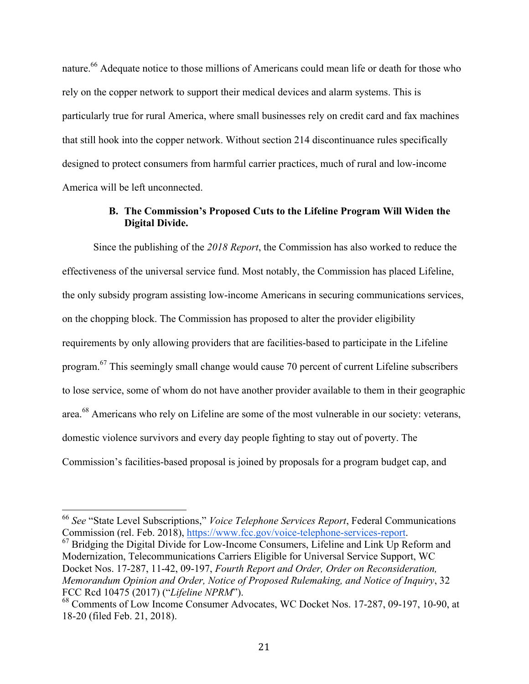nature.<sup>66</sup> Adequate notice to those millions of Americans could mean life or death for those who rely on the copper network to support their medical devices and alarm systems. This is particularly true for rural America, where small businesses rely on credit card and fax machines that still hook into the copper network. Without section 214 discontinuance rules specifically designed to protect consumers from harmful carrier practices, much of rural and low-income America will be left unconnected.

#### **B. The Commission's Proposed Cuts to the Lifeline Program Will Widen the Digital Divide.**

Since the publishing of the *2018 Report*, the Commission has also worked to reduce the effectiveness of the universal service fund. Most notably, the Commission has placed Lifeline, the only subsidy program assisting low-income Americans in securing communications services, on the chopping block. The Commission has proposed to alter the provider eligibility requirements by only allowing providers that are facilities-based to participate in the Lifeline program.<sup>67</sup> This seemingly small change would cause 70 percent of current Lifeline subscribers to lose service, some of whom do not have another provider available to them in their geographic area.<sup>68</sup> Americans who rely on Lifeline are some of the most vulnerable in our society: veterans, domestic violence survivors and every day people fighting to stay out of poverty. The Commission's facilities-based proposal is joined by proposals for a program budget cap, and

 <sup>66</sup> *See* "State Level Subscriptions," *Voice Telephone Services Report*, Federal Communications Commission (rel. Feb. 2018), https://www.fcc.gov/voice-telephone-services-report.<br><sup>67</sup> Bridging the Digital Divide for Low-Income Consumers, Lifeline and Link Up Reform and

Modernization, Telecommunications Carriers Eligible for Universal Service Support, WC Docket Nos. 17-287, 11-42, 09-197, *Fourth Report and Order, Order on Reconsideration, Memorandum Opinion and Order, Notice of Proposed Rulemaking, and Notice of Inquiry*, 32 FCC Rcd 10475 (2017) ("*Lifeline NPRM*").

<sup>68</sup> Comments of Low Income Consumer Advocates, WC Docket Nos. 17-287, 09-197, 10-90, at 18-20 (filed Feb. 21, 2018).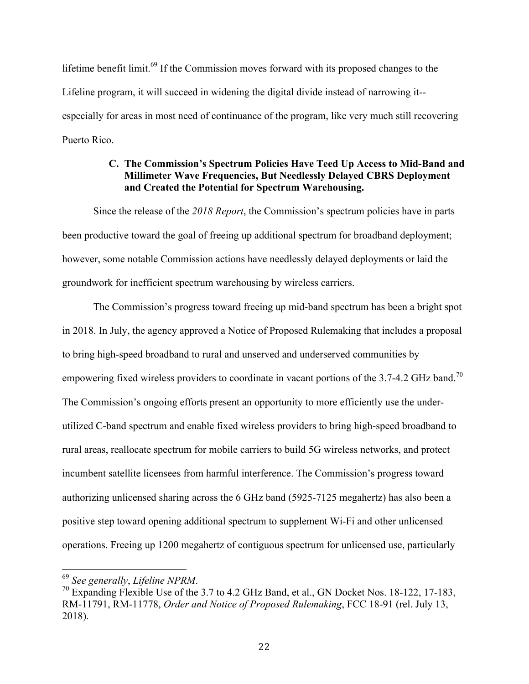lifetime benefit limit.<sup>69</sup> If the Commission moves forward with its proposed changes to the Lifeline program, it will succeed in widening the digital divide instead of narrowing it- especially for areas in most need of continuance of the program, like very much still recovering Puerto Rico.

# **C. The Commission's Spectrum Policies Have Teed Up Access to Mid-Band and Millimeter Wave Frequencies, But Needlessly Delayed CBRS Deployment and Created the Potential for Spectrum Warehousing.**

Since the release of the *2018 Report*, the Commission's spectrum policies have in parts been productive toward the goal of freeing up additional spectrum for broadband deployment; however, some notable Commission actions have needlessly delayed deployments or laid the groundwork for inefficient spectrum warehousing by wireless carriers.

The Commission's progress toward freeing up mid-band spectrum has been a bright spot in 2018. In July, the agency approved a Notice of Proposed Rulemaking that includes a proposal to bring high-speed broadband to rural and unserved and underserved communities by empowering fixed wireless providers to coordinate in vacant portions of the 3.7-4.2 GHz band.<sup>70</sup> The Commission's ongoing efforts present an opportunity to more efficiently use the underutilized C-band spectrum and enable fixed wireless providers to bring high-speed broadband to rural areas, reallocate spectrum for mobile carriers to build 5G wireless networks, and protect incumbent satellite licensees from harmful interference. The Commission's progress toward authorizing unlicensed sharing across the 6 GHz band (5925-7125 megahertz) has also been a positive step toward opening additional spectrum to supplement Wi-Fi and other unlicensed operations. Freeing up 1200 megahertz of contiguous spectrum for unlicensed use, particularly

 <sup>69</sup> *See generally*, *Lifeline NPRM*. 70 Expanding Flexible Use of the 3.7 to 4.2 GHz Band, et al., GN Docket Nos. 18-122, 17-183, RM-11791, RM-11778, *Order and Notice of Proposed Rulemaking*, FCC 18-91 (rel. July 13, 2018).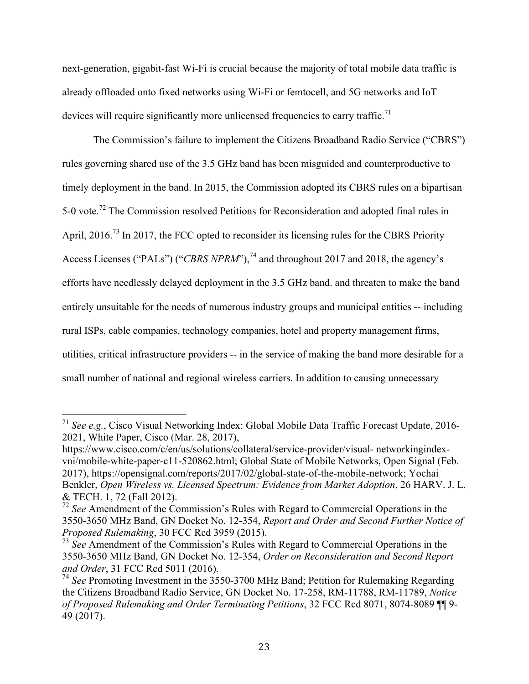next-generation, gigabit-fast Wi-Fi is crucial because the majority of total mobile data traffic is already offloaded onto fixed networks using Wi-Fi or femtocell, and 5G networks and IoT devices will require significantly more unlicensed frequencies to carry traffic.<sup>71</sup>

The Commission's failure to implement the Citizens Broadband Radio Service ("CBRS") rules governing shared use of the 3.5 GHz band has been misguided and counterproductive to timely deployment in the band. In 2015, the Commission adopted its CBRS rules on a bipartisan 5-0 vote.<sup>72</sup> The Commission resolved Petitions for Reconsideration and adopted final rules in April, 2016.<sup>73</sup> In 2017, the FCC opted to reconsider its licensing rules for the CBRS Priority Access Licenses ("PALs") ("*CBRS NPRM*"),<sup>74</sup> and throughout 2017 and 2018, the agency's efforts have needlessly delayed deployment in the 3.5 GHz band. and threaten to make the band entirely unsuitable for the needs of numerous industry groups and municipal entities -- including rural ISPs, cable companies, technology companies, hotel and property management firms, utilities, critical infrastructure providers -- in the service of making the band more desirable for a small number of national and regional wireless carriers. In addition to causing unnecessary

 <sup>71</sup> *See e.g.*, Cisco Visual Networking Index: Global Mobile Data Traffic Forecast Update, 2016- 2021, White Paper, Cisco (Mar. 28, 2017),

https://www.cisco.com/c/en/us/solutions/collateral/service-provider/visual- networkingindexvni/mobile-white-paper-c11-520862.html; Global State of Mobile Networks, Open Signal (Feb. 2017), https://opensignal.com/reports/2017/02/global-state-of-the-mobile-network; Yochai Benkler, *Open Wireless vs. Licensed Spectrum: Evidence from Market Adoption*, 26 HARV. J. L. & TECH. 1, 72 (Fall 2012).

<sup>72</sup> *See* Amendment of the Commission's Rules with Regard to Commercial Operations in the 3550-3650 MHz Band, GN Docket No. 12-354, *Report and Order and Second Further Notice of Proposed Rulemaking*, 30 FCC Rcd 3959 (2015).

<sup>73</sup> *See* Amendment of the Commission's Rules with Regard to Commercial Operations in the 3550-3650 MHz Band, GN Docket No. 12-354, *Order on Reconsideration and Second Report and Order*, 31 FCC Rcd 5011 (2016).

<sup>74</sup> *See* Promoting Investment in the 3550-3700 MHz Band; Petition for Rulemaking Regarding the Citizens Broadband Radio Service, GN Docket No. 17-258, RM-11788, RM-11789, *Notice of Proposed Rulemaking and Order Terminating Petitions*, 32 FCC Rcd 8071, 8074-8089 ¶¶ 9- 49 (2017).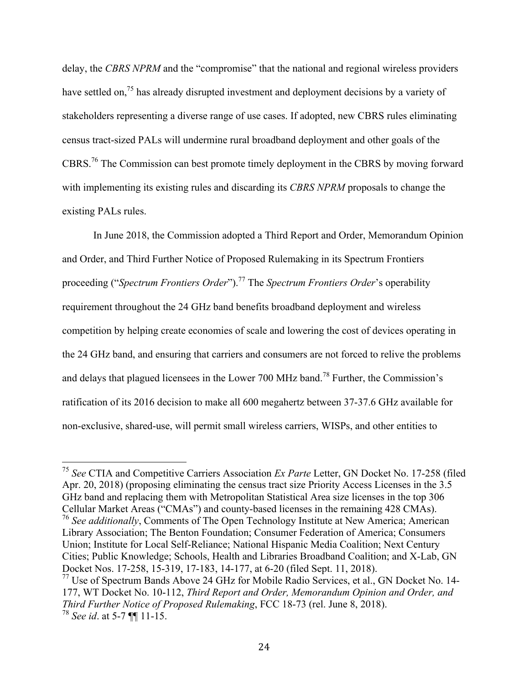delay, the *CBRS NPRM* and the "compromise" that the national and regional wireless providers have settled on,<sup>75</sup> has already disrupted investment and deployment decisions by a variety of stakeholders representing a diverse range of use cases. If adopted, new CBRS rules eliminating census tract-sized PALs will undermine rural broadband deployment and other goals of the CBRS.76 The Commission can best promote timely deployment in the CBRS by moving forward with implementing its existing rules and discarding its *CBRS NPRM* proposals to change the existing PALs rules.

In June 2018, the Commission adopted a Third Report and Order, Memorandum Opinion and Order, and Third Further Notice of Proposed Rulemaking in its Spectrum Frontiers proceeding ("*Spectrum Frontiers Order*").<sup>77</sup> The *Spectrum Frontiers Order*'s operability requirement throughout the 24 GHz band benefits broadband deployment and wireless competition by helping create economies of scale and lowering the cost of devices operating in the 24 GHz band, and ensuring that carriers and consumers are not forced to relive the problems and delays that plagued licensees in the Lower 700 MHz band.<sup>78</sup> Further, the Commission's ratification of its 2016 decision to make all 600 megahertz between 37-37.6 GHz available for non-exclusive, shared-use, will permit small wireless carriers, WISPs, and other entities to

 <sup>75</sup> *See* CTIA and Competitive Carriers Association *Ex Parte* Letter, GN Docket No. 17-258 (filed Apr. 20, 2018) (proposing eliminating the census tract size Priority Access Licenses in the 3.5 GHz band and replacing them with Metropolitan Statistical Area size licenses in the top 306 Cellular Market Areas ("CMAs") and county-based licenses in the remaining 428 CMAs). <sup>76</sup> *See additionally*, Comments of The Open Technology Institute at New America; American Library Association; The Benton Foundation; Consumer Federation of America; Consumers Union; Institute for Local Self-Reliance; National Hispanic Media Coalition; Next Century Cities; Public Knowledge; Schools, Health and Libraries Broadband Coalition; and X-Lab, GN Docket Nos. 17-258, 15-319, 17-183, 14-177, at 6-20 (filed Sept. 11, 2018). <sup>77</sup> Use of Spectrum Bands Above 24 GHz for Mobile Radio Services, et al., GN Docket No. 14-

<sup>177,</sup> WT Docket No. 10-112, *Third Report and Order, Memorandum Opinion and Order, and Third Further Notice of Proposed Rulemaking*, FCC 18-73 (rel. June 8, 2018). <sup>78</sup> *See id*. at 5-7 ¶¶ 11-15.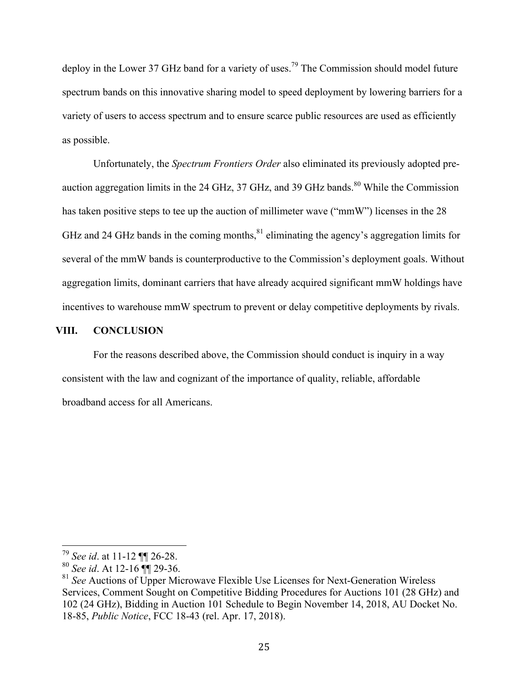deploy in the Lower 37 GHz band for a variety of uses.<sup>79</sup> The Commission should model future spectrum bands on this innovative sharing model to speed deployment by lowering barriers for a variety of users to access spectrum and to ensure scarce public resources are used as efficiently as possible.

Unfortunately, the *Spectrum Frontiers Order* also eliminated its previously adopted preauction aggregation limits in the 24 GHz, 37 GHz, and 39 GHz bands. $80$  While the Commission has taken positive steps to tee up the auction of millimeter wave ("mmW") licenses in the 28 GHz and 24 GHz bands in the coming months,  $81$  eliminating the agency's aggregation limits for several of the mmW bands is counterproductive to the Commission's deployment goals. Without aggregation limits, dominant carriers that have already acquired significant mmW holdings have incentives to warehouse mmW spectrum to prevent or delay competitive deployments by rivals.

#### **VIII. CONCLUSION**

For the reasons described above, the Commission should conduct is inquiry in a way consistent with the law and cognizant of the importance of quality, reliable, affordable broadband access for all Americans.

 <sup>79</sup> *See id*. at 11-12 ¶¶ 26-28.

<sup>80</sup> *See id*. At 12-16 ¶¶ 29-36.

<sup>81</sup> *See* Auctions of Upper Microwave Flexible Use Licenses for Next-Generation Wireless Services, Comment Sought on Competitive Bidding Procedures for Auctions 101 (28 GHz) and 102 (24 GHz), Bidding in Auction 101 Schedule to Begin November 14, 2018, AU Docket No. 18-85, *Public Notice*, FCC 18-43 (rel. Apr. 17, 2018).